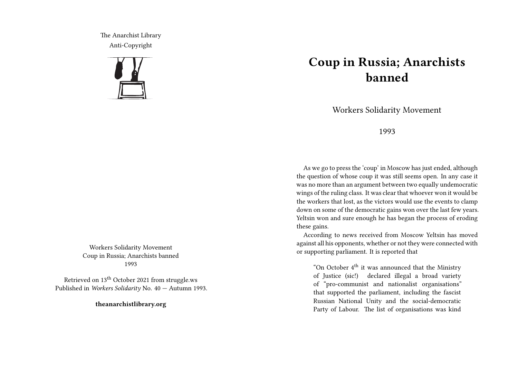The Anarchist Library Anti-Copyright



Workers Solidarity Movement Coup in Russia; Anarchists banned 1993

Retrieved on 13th October 2021 from struggle.ws Published in *Workers Solidarity* No. 40 — Autumn 1993.

**theanarchistlibrary.org**

## **Coup in Russia; Anarchists banned**

Workers Solidarity Movement

1993

As we go to press the 'coup' in Moscow has just ended, although the question of whose coup it was still seems open. In any case it was no more than an argument between two equally undemocratic wings of the ruling class. It was clear that whoever won it would be the workers that lost, as the victors would use the events to clamp down on some of the democratic gains won over the last few years. Yeltsin won and sure enough he has began the process of eroding these gains.

According to news received from Moscow Yeltsin has moved against all his opponents, whether or not they were connected with or supporting parliament. It is reported that

"On October  $4<sup>th</sup>$  it was announced that the Ministry of Justice (sic!) declared illegal a broad variety of "pro-communist and nationalist organisations" that supported the parliament, including the fascist Russian National Unity and the social-democratic Party of Labour. The list of organisations was kind